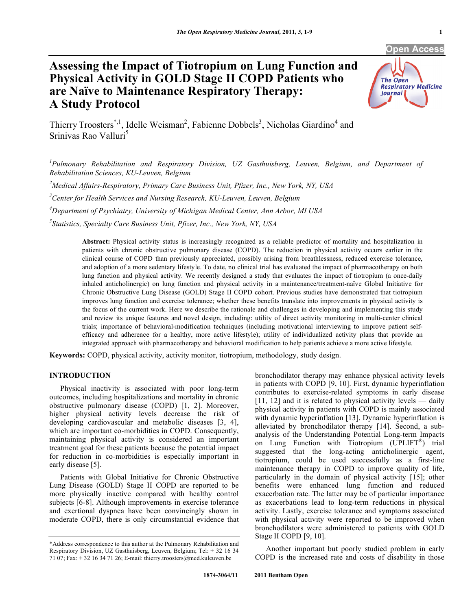# **Open Access**

# **Assessing the Impact of Tiotropium on Lung Function and Physical Activity in GOLD Stage II COPD Patients who are Naïve to Maintenance Respiratory Therapy: A Study Protocol**



Thierry Troosters<sup>\*,1</sup>, Idelle Weisman<sup>2</sup>, Fabienne Dobbels<sup>3</sup>, Nicholas Giardino<sup>4</sup> and Srinivas Rao Valluri<sup>5</sup>

*1 Pulmonary Rehabilitation and Respiratory Division, UZ Gasthuisberg, Leuven, Belgium, and Department of Rehabilitation Sciences, KU-Leuven, Belgium* 

*2 Medical Affairs-Respiratory, Primary Care Business Unit, Pfizer, Inc., New York, NY, USA* 

*3 Center for Health Services and Nursing Research, KU-Leuven, Leuven, Belgium* 

*4 Department of Psychiatry, University of Michigan Medical Center, Ann Arbor, MI USA* 

*5 Statistics, Specialty Care Business Unit, Pfizer, Inc., New York, NY, USA* 

**Abstract:** Physical activity status is increasingly recognized as a reliable predictor of mortality and hospitalization in patients with chronic obstructive pulmonary disease (COPD). The reduction in physical activity occurs earlier in the clinical course of COPD than previously appreciated, possibly arising from breathlessness, reduced exercise tolerance, and adoption of a more sedentary lifestyle. To date, no clinical trial has evaluated the impact of pharmacotherapy on both lung function and physical activity. We recently designed a study that evaluates the impact of tiotropium (a once-daily inhaled anticholinergic) on lung function and physical activity in a maintenance/treatment-naïve Global Initiative for Chronic Obstructive Lung Disease (GOLD) Stage II COPD cohort. Previous studies have demonstrated that tiotropium improves lung function and exercise tolerance; whether these benefits translate into improvements in physical activity is the focus of the current work. Here we describe the rationale and challenges in developing and implementing this study and review its unique features and novel design, including: utility of direct activity monitoring in multi-center clinical trials; importance of behavioral-modification techniques (including motivational interviewing to improve patient selfefficacy and adherence for a healthy, more active lifestyle); utility of individualized activity plans that provide an integrated approach with pharmacotherapy and behavioral modification to help patients achieve a more active lifestyle.

**Keywords:** COPD, physical activity, activity monitor, tiotropium, methodology, study design.

# **INTRODUCTION**

 Physical inactivity is associated with poor long-term outcomes, including hospitalizations and mortality in chronic obstructive pulmonary disease (COPD) [1, 2]. Moreover, higher physical activity levels decrease the risk of developing cardiovascular and metabolic diseases [3, 4], which are important co-morbidities in COPD. Consequently, maintaining physical activity is considered an important treatment goal for these patients because the potential impact for reduction in co-morbidities is especially important in early disease [5].

 Patients with Global Initiative for Chronic Obstructive Lung Disease (GOLD) Stage II COPD are reported to be more physically inactive compared with healthy control subjects [6-8]. Although improvements in exercise tolerance and exertional dyspnea have been convincingly shown in moderate COPD, there is only circumstantial evidence that bronchodilator therapy may enhance physical activity levels in patients with COPD [9, 10]. First, dynamic hyperinflation contributes to exercise-related symptoms in early disease  $[11, 12]$  and it is related to physical activity levels — daily physical activity in patients with COPD is mainly associated with dynamic hyperinflation [13]. Dynamic hyperinflation is alleviated by bronchodilator therapy [14]. Second, a subanalysis of the Understanding Potential Long-term Impacts on Lung Function with Tiotropium (UPLIFT®) trial suggested that the long-acting anticholinergic agent, tiotropium, could be used successfully as a first-line maintenance therapy in COPD to improve quality of life, particularly in the domain of physical activity [15]; other benefits were enhanced lung function and reduced exacerbation rate. The latter may be of particular importance as exacerbations lead to long-term reductions in physical activity. Lastly, exercise tolerance and symptoms associated with physical activity were reported to be improved when bronchodilators were administered to patients with GOLD Stage II COPD [9, 10].

 Another important but poorly studied problem in early COPD is the increased rate and costs of disability in those

<sup>\*</sup>Address correspondence to this author at the Pulmonary Rehabilitation and Respiratory Division, UZ Gasthuisberg, Leuven, Belgium; Tel: + 32 16 34 71 07; Fax: + 32 16 34 71 26; E-mail: thierry.troosters@med.kuleuven.be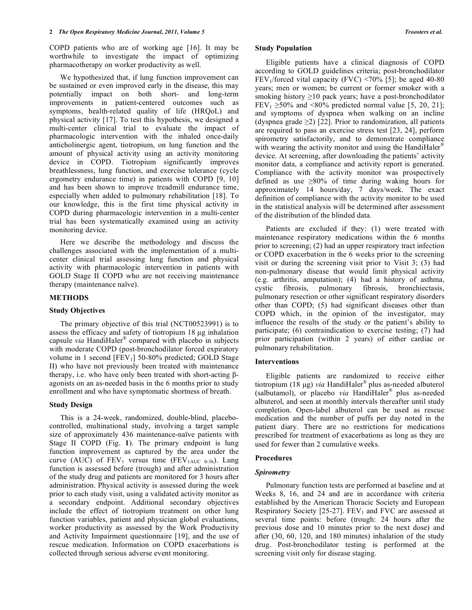COPD patients who are of working age [16]. It may be worthwhile to investigate the impact of optimizing pharmacotherapy on worker productivity as well.

 We hypothesized that, if lung function improvement can be sustained or even improved early in the disease, this may potentially impact on both short- and long-term improvements in patient-centered outcomes such as symptoms, health-related quality of life (HRQoL) and physical activity [17]. To test this hypothesis, we designed a multi-center clinical trial to evaluate the impact of pharmacologic intervention with the inhaled once-daily anticholinergic agent, tiotropium, on lung function and the amount of physical activity using an activity monitoring device in COPD. Tiotropium significantly improves breathlessness, lung function, and exercise tolerance (cycle ergometry endurance time) in patients with COPD [9, 10] and has been shown to improve treadmill endurance time, especially when added to pulmonary rehabilitation [18]. To our knowledge, this is the first time physical activity in COPD during pharmacologic intervention in a multi-center trial has been systematically examined using an activity monitoring device.

 Here we describe the methodology and discuss the challenges associated with the implementation of a multicenter clinical trial assessing lung function and physical activity with pharmacologic intervention in patients with GOLD Stage II COPD who are not receiving maintenance therapy (maintenance naïve).

# **METHODS**

## **Study Objectives**

 The primary objective of this trial (NCT00523991) is to assess the efficacy and safety of tiotropium  $18 \mu g$  inhalation capsule *via* HandiHaler® compared with placebo in subjects with moderate COPD (post-bronchodilator forced expiratory volume in 1 second [FEV<sub>1</sub>] 50-80% predicted; GOLD Stage II) who have not previously been treated with maintenance therapy, i.e. who have only been treated with short-acting  $\beta$ agonists on an as-needed basis in the 6 months prior to study enrollment and who have symptomatic shortness of breath.

#### **Study Design**

 This is a 24-week, randomized, double-blind, placebocontrolled, multinational study, involving a target sample size of approximately 436 maintenance-naïve patients with Stage II COPD (Fig. **1**). The primary endpoint is lung function improvement as captured by the area under the curve (AUC) of  $FEV_1$  versus time ( $FEV_{1AUC}$  0-3h). Lung function is assessed before (trough) and after administration of the study drug and patients are monitored for 3 hours after administration. Physical activity is assessed during the week prior to each study visit, using a validated activity monitor as a secondary endpoint. Additional secondary objectives include the effect of tiotropium treatment on other lung function variables, patient and physician global evaluations, worker productivity as assessed by the Work Productivity and Activity Impairment questionnaire [19], and the use of rescue medication. Information on COPD exacerbations is collected through serious adverse event monitoring.

#### **Study Population**

 Eligible patients have a clinical diagnosis of COPD according to GOLD guidelines criteria; post-bronchodilator  $FEV<sub>1</sub>/forced vital capacity (FVC) < 70\%$  [5]; be aged 40-80 years; men or women; be current or former smoker with a smoking history  $\geq 10$  pack years; have a post-bronchodilator  $FEV_1 \geq 50\%$  and <80% predicted normal value [5, 20, 21]; and symptoms of dyspnea when walking on an incline (dyspnea grade  $\geq$ 2) [22]. Prior to randomization, all patients are required to pass an exercise stress test [23, 24], perform spirometry satisfactorily, and to demonstrate compliance with wearing the activity monitor and using the HandiHaler<sup>®</sup> device. At screening, after downloading the patients' activity monitor data, a compliance and activity report is generated. Compliance with the activity monitor was prospectively defined as use  $\geq 80\%$  of time during waking hours for approximately 14 hours/day, 7 days/week. The exact definition of compliance with the activity monitor to be used in the statistical analysis will be determined after assessment of the distribution of the blinded data.

 Patients are excluded if they: (1) were treated with maintenance respiratory medications within the 6 months prior to screening; (2) had an upper respiratory tract infection or COPD exacerbation in the 6 weeks prior to the screening visit or during the screening visit prior to Visit 3; (3) had non-pulmonary disease that would limit physical activity (e.g. arthritis, amputation); (4) had a history of asthma, cystic fibrosis, pulmonary fibrosis, bronchiectasis, pulmonary resection or other significant respiratory disorders other than COPD; (5) had significant diseases other than COPD which, in the opinion of the investigator, may influence the results of the study or the patient's ability to participate; (6) contraindication to exercise testing; (7) had prior participation (within 2 years) of either cardiac or pulmonary rehabilitation.

#### **Interventions**

 Eligible patients are randomized to receive either tiotropium (18 μg) *via* HandiHaler® plus as-needed albuterol (salbutamol), or placebo *via* HandiHaler® plus as-needed albuterol, and seen at monthly intervals thereafter until study completion. Open-label albuterol can be used as rescue medication and the number of puffs per day noted in the patient diary. There are no restrictions for medications prescribed for treatment of exacerbations as long as they are used for fewer than 2 cumulative weeks.

# **Procedures**

#### *Spirometry*

 Pulmonary function tests are performed at baseline and at Weeks 8, 16, and 24 and are in accordance with criteria established by the American Thoracic Society and European Respiratory Society [25-27].  $FEV<sub>1</sub>$  and FVC are assessed at several time points: before (trough: 24 hours after the previous dose and 10 minutes prior to the next dose) and after (30, 60, 120, and 180 minutes) inhalation of the study drug. Post-bronchodilator testing is performed at the screening visit only for disease staging.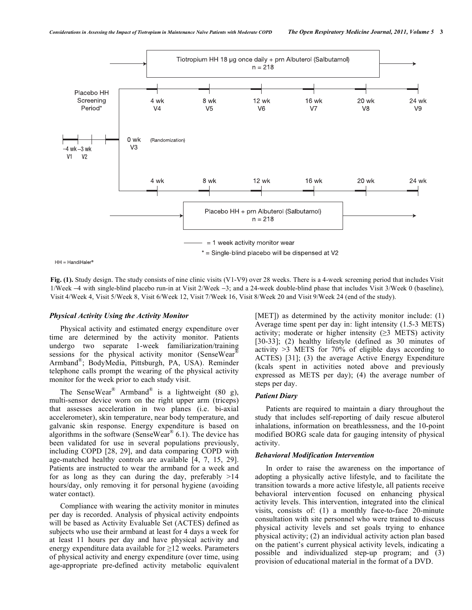

 $HH = HandiHaler<sup>®</sup>$ 

**Fig. (1).** Study design. The study consists of nine clinic visits (V1-V9) over 28 weeks. There is a 4-week screening period that includes Visit 1/Week  $-4$  with single-blind placebo run-in at Visit 2/Week  $-3$ ; and a 24-week double-blind phase that includes Visit 3/Week 0 (baseline), Visit 4/Week 4, Visit 5/Week 8, Visit 6/Week 12, Visit 7/Week 16, Visit 8/Week 20 and Visit 9/Week 24 (end of the study).

#### *Physical Activity Using the Activity Monitor*

 Physical activity and estimated energy expenditure over time are determined by the activity monitor. Patients undergo two separate 1-week familiarization/training sessions for the physical activity monitor (SenseWear<sup>®</sup> Armband®; BodyMedia, Pittsburgh, PA, USA). Reminder telephone calls prompt the wearing of the physical activity monitor for the week prior to each study visit.

The SenseWear<sup>®</sup> Armband<sup>®</sup> is a lightweight (80 g), multi-sensor device worn on the right upper arm (triceps) that assesses acceleration in two planes (i.e. bi-axial accelerometer), skin temperature, near body temperature, and galvanic skin response. Energy expenditure is based on algorithms in the software (SenseWear® 6.1). The device has been validated for use in several populations previously, including COPD [28, 29], and data comparing COPD with age-matched healthy controls are available [4, 7, 15, 29]. Patients are instructed to wear the armband for a week and for as long as they can during the day, preferably  $>14$ hours/day, only removing it for personal hygiene (avoiding water contact).

 Compliance with wearing the activity monitor in minutes per day is recorded. Analysis of physical activity endpoints will be based as Activity Evaluable Set (ACTES) defined as subjects who use their armband at least for 4 days a week for at least 11 hours per day and have physical activity and energy expenditure data available for  $\geq 12$  weeks. Parameters of physical activity and energy expenditure (over time, using age-appropriate pre-defined activity metabolic equivalent

[MET]) as determined by the activity monitor include: (1) Average time spent per day in: light intensity (1.5-3 METS) activity; moderate or higher intensity  $(\geq)$  METS) activity [30-33]; (2) healthy lifestyle (defined as 30 minutes of activity >3 METS for 70% of eligible days according to ACTES) [31]; (3) the average Active Energy Expenditure (kcals spent in activities noted above and previously expressed as METS per day); (4) the average number of steps per day.

# *Patient Diary*

 Patients are required to maintain a diary throughout the study that includes self-reporting of daily rescue albuterol inhalations, information on breathlessness, and the 10-point modified BORG scale data for gauging intensity of physical activity.

#### *Behavioral Modification Intervention*

 In order to raise the awareness on the importance of adopting a physically active lifestyle, and to facilitate the transition towards a more active lifestyle, all patients receive behavioral intervention focused on enhancing physical activity levels. This intervention, integrated into the clinical visits, consists of: (1) a monthly face-to-face 20-minute consultation with site personnel who were trained to discuss physical activity levels and set goals trying to enhance physical activity; (2) an individual activity action plan based on the patient's current physical activity levels, indicating a possible and individualized step-up program; and (3) provision of educational material in the format of a DVD.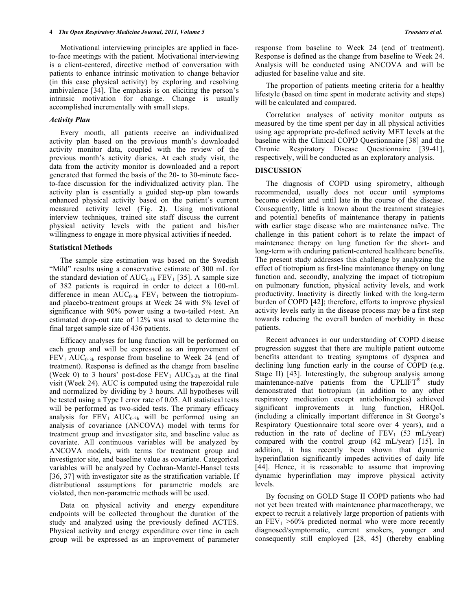Motivational interviewing principles are applied in faceto-face meetings with the patient. Motivational interviewing is a client-centered, directive method of conversation with patients to enhance intrinsic motivation to change behavior (in this case physical activity) by exploring and resolving ambivalence [34]. The emphasis is on eliciting the person's intrinsic motivation for change. Change is usually accomplished incrementally with small steps.

# *Activity Plan*

 Every month, all patients receive an individualized activity plan based on the previous month's downloaded activity monitor data, coupled with the review of the previous month's activity diaries. At each study visit, the data from the activity monitor is downloaded and a report generated that formed the basis of the 20- to 30-minute faceto-face discussion for the individualized activity plan. The activity plan is essentially a guided step-up plan towards enhanced physical activity based on the patient's current measured activity level (Fig. **2**). Using motivational interview techniques, trained site staff discuss the current physical activity levels with the patient and his/her willingness to engage in more physical activities if needed.

#### **Statistical Methods**

 The sample size estimation was based on the Swedish "Mild" results using a conservative estimate of 300 mL for the standard deviation of  $AUC_{0-3h}$  FEV<sub>1</sub> [35]. A sample size of 382 patients is required in order to detect a 100-mL difference in mean  $AUC_{0.3h}$  FEV<sub>1</sub> between the tiotropiumand placebo-treatment groups at Week 24 with 5% level of significance with 90% power using a two-tailed *t*-test. An estimated drop-out rate of 12% was used to determine the final target sample size of 436 patients.

 Efficacy analyses for lung function will be performed on each group and will be expressed as an improvement of  $FEV<sub>1</sub> AUC<sub>0-3h</sub>$  response from baseline to Week 24 (end of treatment). Response is defined as the change from baseline (Week 0) to 3 hours' post-dose  $FEV_1 AUC_{0.3h}$  at the final visit (Week 24). AUC is computed using the trapezoidal rule and normalized by dividing by 3 hours. All hypotheses will be tested using a Type I error rate of 0.05. All statistical tests will be performed as two-sided tests. The primary efficacy analysis for  $FEV_1$   $AUC_{0.3h}$  will be performed using an analysis of covariance (ANCOVA) model with terms for treatment group and investigator site, and baseline value as covariate. All continuous variables will be analyzed by ANCOVA models, with terms for treatment group and investigator site, and baseline value as covariate. Categorical variables will be analyzed by Cochran-Mantel-Hansel tests [36, 37] with investigator site as the stratification variable. If distributional assumptions for parametric models are violated, then non-parametric methods will be used.

 Data on physical activity and energy expenditure endpoints will be collected throughout the duration of the study and analyzed using the previously defined ACTES. Physical activity and energy expenditure over time in each group will be expressed as an improvement of parameter

response from baseline to Week 24 (end of treatment). Response is defined as the change from baseline to Week 24. Analysis will be conducted using ANCOVA and will be adjusted for baseline value and site.

 The proportion of patients meeting criteria for a healthy lifestyle (based on time spent in moderate activity and steps) will be calculated and compared.

 Correlation analyses of activity monitor outputs as measured by the time spent per day in all physical activities using age appropriate pre-defined activity MET levels at the baseline with the Clinical COPD Questionnaire [38] and the Chronic Respiratory Disease Questionnaire [39-41], respectively, will be conducted as an exploratory analysis.

#### **DISCUSSION**

 The diagnosis of COPD using spirometry, although recommended, usually does not occur until symptoms become evident and until late in the course of the disease. Consequently, little is known about the treatment strategies and potential benefits of maintenance therapy in patients with earlier stage disease who are maintenance naïve. The challenge in this patient cohort is to relate the impact of maintenance therapy on lung function for the short- and long-term with enduring patient-centered healthcare benefits. The present study addresses this challenge by analyzing the effect of tiotropium as first-line maintenance therapy on lung function and, secondly, analyzing the impact of tiotropium on pulmonary function, physical activity levels, and work productivity. Inactivity is directly linked with the long-term burden of COPD [42]; therefore, efforts to improve physical activity levels early in the disease process may be a first step towards reducing the overall burden of morbidity in these patients.

 Recent advances in our understanding of COPD disease progression suggest that there are multiple patient outcome benefits attendant to treating symptoms of dyspnea and declining lung function early in the course of COPD (e.g. Stage II) [43]. Interestingly, the subgroup analysis among maintenance-naïve patients from the UPLIFT<sup>®</sup> study demonstrated that tiotropium (in addition to any other respiratory medication except anticholinergics) achieved significant improvements in lung function, HRQoL (including a clinically important difference in St George's Respiratory Questionnaire total score over 4 years), and a reduction in the rate of decline of  $FEV_1$  (53 mL/year) compared with the control group (42 mL/year) [15]. In addition, it has recently been shown that dynamic hyperinflation significantly impedes activities of daily life [44]. Hence, it is reasonable to assume that improving dynamic hyperinflation may improve physical activity levels.

 By focusing on GOLD Stage II COPD patients who had not yet been treated with maintenance pharmacotherapy, we expect to recruit a relatively large proportion of patients with an  $FEV_1 > 60\%$  predicted normal who were more recently diagnosed/symptomatic, current smokers, younger and consequently still employed [28, 45] (thereby enabling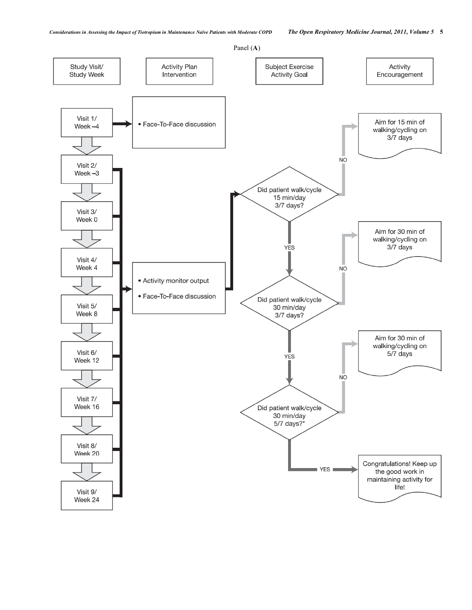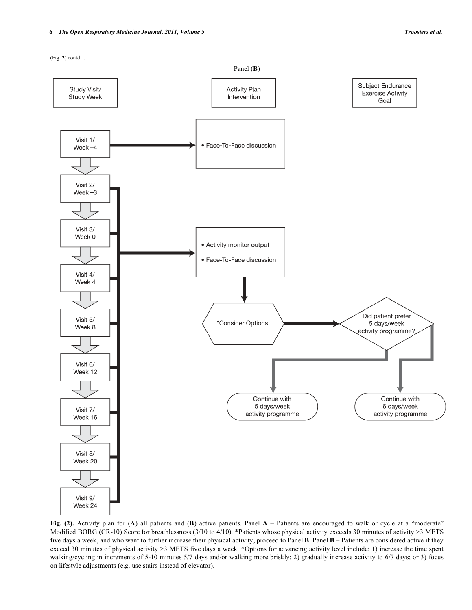

**Fig. (2).** Activity plan for (**A**) all patients and (**B**) active patients. Panel **A** – Patients are encouraged to walk or cycle at a "moderate" Modified BORG (CR-10) Score for breathlessness (3/10 to 4/10). \*Patients whose physical activity exceeds 30 minutes of activity >3 METS five days a week, and who want to further increase their physical activity, proceed to Panel **B**. Panel **B** – Patients are considered active if they exceed 30 minutes of physical activity >3 METS five days a week. \*Options for advancing activity level include: 1) increase the time spent walking/cycling in increments of 5-10 minutes 5/7 days and/or walking more briskly; 2) gradually increase activity to 6/7 days; or 3) focus on lifestyle adjustments (e.g. use stairs instead of elevator).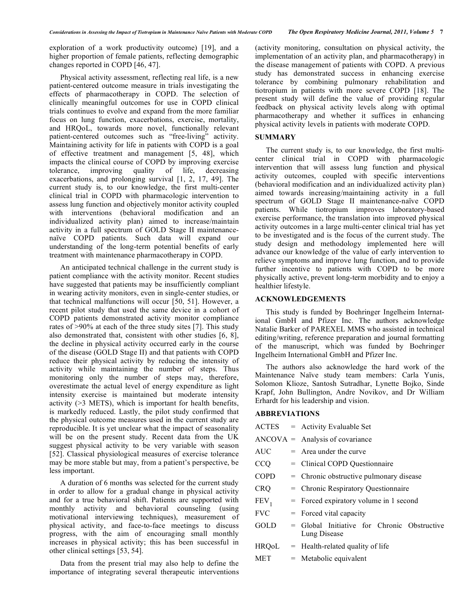exploration of a work productivity outcome) [19], and a higher proportion of female patients, reflecting demographic changes reported in COPD [46, 47].

 Physical activity assessment, reflecting real life, is a new patient-centered outcome measure in trials investigating the effects of pharmacotherapy in COPD. The selection of clinically meaningful outcomes for use in COPD clinical trials continues to evolve and expand from the more familiar focus on lung function, exacerbations, exercise, mortality, and HRQoL, towards more novel, functionally relevant patient-centered outcomes such as "free-living" activity. Maintaining activity for life in patients with COPD is a goal of effective treatment and management [5, 48], which impacts the clinical course of COPD by improving exercise tolerance, improving quality of life, decreasing exacerbations, and prolonging survival [1, 2, 17, 49]. The current study is, to our knowledge, the first multi-center clinical trial in COPD with pharmacologic intervention to assess lung function and objectively monitor activity coupled with interventions (behavioral modification and an individualized activity plan) aimed to increase/maintain activity in a full spectrum of GOLD Stage II maintenancenaïve COPD patients. Such data will expand our understanding of the long-term potential benefits of early treatment with maintenance pharmacotherapy in COPD.

 An anticipated technical challenge in the current study is patient compliance with the activity monitor. Recent studies have suggested that patients may be insufficiently compliant in wearing activity monitors, even in single-center studies, or that technical malfunctions will occur [50, 51]. However, a recent pilot study that used the same device in a cohort of COPD patients demonstrated activity monitor compliance rates of >90% at each of the three study sites [7]. This study also demonstrated that, consistent with other studies [6, 8], the decline in physical activity occurred early in the course of the disease (GOLD Stage II) and that patients with COPD reduce their physical activity by reducing the intensity of activity while maintaining the number of steps. Thus monitoring only the number of steps may, therefore, overestimate the actual level of energy expenditure as light intensity exercise is maintained but moderate intensity activity (>3 METS), which is important for health benefits, is markedly reduced. Lastly, the pilot study confirmed that the physical outcome measures used in the current study are reproducible. It is yet unclear what the impact of seasonality will be on the present study. Recent data from the UK suggest physical activity to be very variable with season [52]. Classical physiological measures of exercise tolerance may be more stable but may, from a patient's perspective, be less important.

 A duration of 6 months was selected for the current study in order to allow for a gradual change in physical activity and for a true behavioral shift. Patients are supported with monthly activity and behavioral counseling (using motivational interviewing techniques), measurement of physical activity, and face-to-face meetings to discuss progress, with the aim of encouraging small monthly increases in physical activity; this has been successful in other clinical settings [53, 54].

 Data from the present trial may also help to define the importance of integrating several therapeutic interventions (activity monitoring, consultation on physical activity, the implementation of an activity plan, and pharmacotherapy) in the disease management of patients with COPD. A previous study has demonstrated success in enhancing exercise tolerance by combining pulmonary rehabilitation and tiotropium in patients with more severe COPD [18]. The present study will define the value of providing regular feedback on physical activity levels along with optimal pharmacotherapy and whether it suffices in enhancing physical activity levels in patients with moderate COPD.

# **SUMMARY**

 The current study is, to our knowledge, the first multicenter clinical trial in COPD with pharmacologic intervention that will assess lung function and physical activity outcomes, coupled with specific interventions (behavioral modification and an individualized activity plan) aimed towards increasing/maintaining activity in a full spectrum of GOLD Stage II maintenance-naïve COPD patients. While tiotropium improves laboratory-based exercise performance, the translation into improved physical activity outcomes in a large multi-center clinical trial has yet to be investigated and is the focus of the current study. The study design and methodology implemented here will advance our knowledge of the value of early intervention to relieve symptoms and improve lung function, and to provide further incentive to patients with COPD to be more physically active, prevent long-term morbidity and to enjoy a healthier lifestyle.

# **ACKNOWLEDGEMENTS**

 This study is funded by Boehringer Ingelheim International GmbH and Pfizer Inc. The authors acknowledge Natalie Barker of PAREXEL MMS who assisted in technical editing/writing, reference preparation and journal formatting of the manuscript, which was funded by Boehringer Ingelheim International GmbH and Pfizer Inc.

 The authors also acknowledge the hard work of the Maintenance Naïve study team members: Carla Yunis, Solomon Klioze, Santosh Sutradhar, Lynette Bojko, Sinde Krapf, John Bullington, Andre Novikov, and Dr William Erhardt for his leadership and vision.

## **ABBREVIATIONS**

|                  | $\text{ACTES}$ = Activity Evaluable Set                     |
|------------------|-------------------------------------------------------------|
|                  | $ANCOVA =$ Analysis of covariance                           |
| <b>AUC</b>       | $=$ Area under the curve                                    |
| <b>CCO</b>       | = Clinical COPD Questionnaire                               |
| <b>COPD</b>      | = Chronic obstructive pulmonary disease                     |
| <b>CRQ</b>       | = Chronic Respiratory Questionnaire                         |
| FEV <sub>1</sub> | $=$ Forced expiratory volume in 1 second                    |
| <b>FVC</b>       | $=$ Forced vital capacity                                   |
| <b>GOLD</b>      | = Global Initiative for Chronic Obstructive<br>Lung Disease |
| <b>HRQoL</b>     | $=$ Health-related quality of life                          |
| MET              | $=$ Metabolic equivalent                                    |
|                  |                                                             |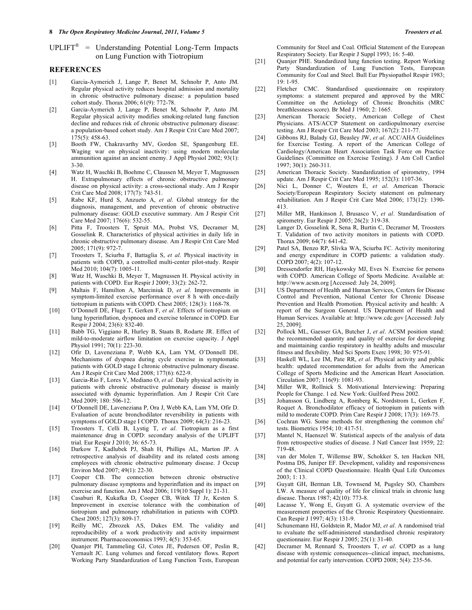$UPLIFT^{\circledR}$  = Understanding Potential Long-Term Impacts on Lung Function with Tiotropium

#### **REFERENCES**

- [1] Garcia-Aymerich J, Lange P, Benet M, Schnohr P, Anto JM. Regular physical activity reduces hospital admission and mortality in chronic obstructive pulmonary disease: a population based cohort study. Thorax 2006; 61(9): 772-78.
- [2] Garcia-Aymerich J, Lange P, Benet M, Schnohr P, Anto JM. Regular physical activity modifies smoking-related lung function decline and reduces risk of chronic obstructive pulmonary disease: a population-based cohort study. Am J Respir Crit Care Med 2007; 175(5): 458-63.
- [3] Booth FW, Chakravarthy MV, Gordon SE, Spangenburg EE. Waging war on physical inactivity: using modern molecular ammunition against an ancient enemy. J Appl Physiol 2002; 93(1): 3-30.
- [4] Watz H, Waschki B, Boehme C, Claussen M, Meyer T, Magnussen H. Extrapulmonary effects of chronic obstructive pulmonary disease on physical activity: a cross-sectional study. Am J Respir Crit Care Med 2008; 177(7): 743-51.
- [5] Rabe KF, Hurd S, Anzueto A, *et al*. Global strategy for the diagnosis, management, and prevention of chronic obstructive pulmonary disease: GOLD executive summary. Am J Respir Crit Care Med 2007; 176(6): 532-55.
- [6] Pitta F, Troosters T, Spruit MA, Probst VS, Decramer M, Gosselink R. Characteristics of physical activities in daily life in chronic obstructive pulmonary disease. Am J Respir Crit Care Med 2005; 171(9): 972-7.
- [7] Troosters T, Sciurba F, Battaglia S, *et al*. Physical inactivity in patients with COPD, a controlled multi-center pilot-study. Respir Med 2010; 104(7): 1005-11.
- [8] Watz H, Waschki B, Meyer T, Magnussen H. Physical activity in patients with COPD. Eur Respir J 2009; 33(2): 262-72.
- [9] Maltais F, Hamilton A, Marciniuk D, *et al*. Improvements in symptom-limited exercise performance over 8 h with once-daily tiotropium in patients with COPD. Chest 2005; 128(3): 1168-78.
- [10] O'Donnell DE, Fluge T, Gerken F, *et al*. Effects of tiotropium on lung hyperinflation, dyspnoea and exercise tolerance in COPD. Eur Respir J 2004; 23(6): 832-40.
- [11] Babb TG, Viggiano R, Hurley B, Staats B, Rodarte JR. Effect of mild-to-moderate airflow limitation on exercise capacity. J Appl Physiol 1991; 70(1): 223-30.
- [12] Ofir D, Laveneziana P, Webb KA, Lam YM, O'Donnell DE. Mechanisms of dyspnea during cycle exercise in symptomatic patients with GOLD stage I chronic obstructive pulmonary disease. Am J Respir Crit Care Med 2008; 177(6): 622-9.
- [13] Garcia-Rio F, Lores V, Mediano O, *et al.* Daily physical activity in patients with chronic obstructive pulmonary disease is mainly associated with dynamic hyperinflation. Am J Respir Crit Care Med 2009; 180: 506-12.
- [14] O'Donnell DE, Laveneziana P, Ora J, Webb KA, Lam YM, Ofir D. Evaluation of acute bronchodilator reversibility in patients with symptoms of GOLD stage I COPD. Thorax 2009; 64(3): 216-23.
- [15] Troosters T, Celli B, Lystig T, *et al*. Tiotropium as a first maintenance drug in COPD: secondary analysis of the UPLIFT trial. Eur Respir J 2010; 36: 65-73.
- [16] Darkow T, Kadlubek PJ, Shah H, Phillips AL, Marton JP. A retrospective analysis of disability and its related costs among employees with chronic obstructive pulmonary disease. J Occup Environ Med 2007; 49(1): 22-30.
- [17] Cooper CB. The connection between chronic obstructive pulmonary disease symptoms and hyperinflation and its impact on exercise and function. Am J Med 2006; 119(10 Suppl 1): 21-31.
- [18] Casaburi R, Kukafka D, Cooper CB, Witek TJ Jr, Kesten S. Improvement in exercise tolerance with the combination of tiotropium and pulmonary rehabilitation in patients with COPD. Chest 2005; 127(3): 809-17.
- [19] Reilly MC, Zbrozek AS, Dukes EM. The validity and reproducibility of a work productivity and activity impairment instrument. Pharmacoeconomics 1993; 4(5): 353-65.
- [20] Quanjer PH, Tammeling GJ, Cotes JE, Pedersen OF, Peslin R, Yernault JC. Lung volumes and forced ventilatory flows. Report Working Party Standardization of Lung Function Tests, European

Community for Steel and Coal. Official Statement of the European Respiratory Society. Eur Respir J Suppl 1993; 16: 5-40.

- [21] Quanjer PHE. Standardized lung function testing. Report Working Party Standardization of Lung Function Tests, European Community for Coal and Steel. Bull Eur Physiopathol Respir 1983; 19: 1-95.
- [22] Fletcher CMC. Standardised questionnaire on respiratory symptoms: a statement prepared and approved by the MRC Committee on the Aetiology of Chronic Bronchitis (MRC breathlessness score). Br Med J 1960; 2: 1665.
- [23] American Thoracic Society, American College of Chest Physicians. ATS/ACCP Statement on cardiopulmonary exercise testing. Am J Respir Crit Care Med 2003; 167(2): 211-77.
- [24] Gibbons RJ, Balady GJ, Beasley JW, *et al*. ACC/AHA Guidelines for Exercise Testing. A report of the American College of Cardiology/American Heart Association Task Force on Practice Guidelines (Committee on Exercise Testing). J Am Coll Cardiol 1997; 30(1): 260-311.
- [25] American Thoracic Society. Standardization of spirometry, 1994 update. Am J Respir Crit Care Med 1995; 152(3): 1107-36.
- [26] Nici L, Donner C, Wouters E, *et al*. American Thoracic Society/European Respiratory Society statement on pulmonary rehabilitation. Am J Respir Crit Care Med 2006; 173(12): 1390- 413.
- [27] Miller MR, Hankinson J, Brusasco V, *et al*. Standardisation of spirometry. Eur Respir J 2005; 26(2): 319-38.
- [28] Langer D, Gosselink R, Sena R, Burtin C, Decramer M, Troosters T. Validation of two activity monitors in patients with COPD. Thorax 2009; 64(7): 641-42.
- [29] Patel SA, Benzo RP, Slivka WA, Sciurba FC. Activity monitoring and energy expenditure in COPD patients: a validation study. COPD 2007; 4(2): 107-12.
- [30] Dressendorfer RH, Haykowsky MJ, Eves N. Exercise for persons with COPD. American College of Sports Medicine. Available at: http://www.acsm.org [Accessed: July 24, 2009].
- [31] US Department of Health and Human Services, Centers for Disease Control and Prevention, National Center for Chronic Disease Prevention and Health Promotion. Physical activity and health: A report of the Surgeon General. US Department of Health and Human Services. Available at: http://www.cdc.gov [Accessed: July 25, 2009].
- [32] Pollock ML, Gaesser GA, Butcher J, *et al*. ACSM position stand: the recommended quantity and quality of exercise for developing and maintaining cardio respiratory in healthy adults and muscular fitness and flexibility. Med Sci Sports Exerc 1998; 30: 975-91.
- [33] Haskell WL, Lee IM, Pate RR, *et al*. Physical activity and public health: updated recommendation for adults from the American College of Sports Medicine and the American Heart Association. Circulation 2007; 116(9): 1081-93.
- [34] Miller WR, Rollnick S. Motivational Interviewing: Preparing People for Change. 1 ed. New York: Guilford Press 2002.
- [35] Johansson G, Lindberg A, Romberg K, Nordstrom L, Gerken F, Roquet A. Bronchodilator efficacy of tiotropium in patients with mild to moderate COPD. Prim Care Respir J 2008; 17(3): 169-75.
- [36] Cochran WG. Some methods for strengthening the common chi<sup>2</sup> tests. Biometrics 1954; 10: 417-51.
- [37] Mantel N, Haenszel W. Statistical aspects of the analysis of data from retrospective studies of disease. J Natl Cancer Inst 1959; 22: 719-48.
- [38] van der Molen T, Willemse BW, Schokker S, ten Hacken NH, Postma DS, Juniper EF. Development, validity and responsiveness of the Clinical COPD Questionnaire. Health Qual Life Outcomes 2003; 1: 13.
- [39] Guyatt GH, Berman LB, Townsend M, Pugsley SO, Chambers LW. A measure of quality of life for clinical trials in chronic lung disease. Thorax 1987; 42(10): 773-8.
- [40] Lacasse Y, Wong E, Guyatt G. A systematic overview of the measurement properties of the Chronic Respiratory Questionnaire. Can Respir J 1997; 4(3): 131-9.
- [41] Schunemann HJ, Goldstein R, Mador MJ, *et al*. A randomised trial to evaluate the self-administered standardised chronic respiratory questionnaire. Eur Respir J 2005; 25(1): 31-40.
- [42] Decramer M, Rennard S, Troosters T, *et al*. COPD as a lung disease with systemic consequences--clinical impact, mechanisms, and potential for early intervention. COPD 2008; 5(4): 235-56.